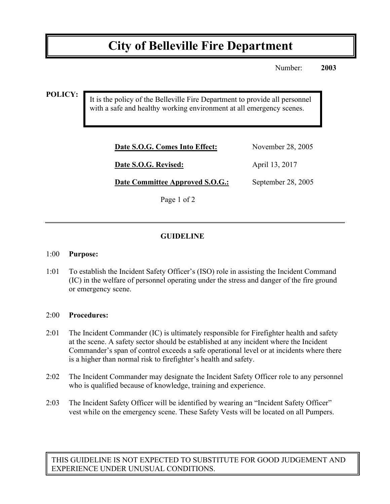# **City of Belleville Fire Department**

Number: **2003**

**POLICY:**

It is the policy of the Belleville Fire Department to provide all personnel with a safe and healthy working environment at all emergency scenes.

| Date S.O.G. Comes Into Effect:         | November 28, 2005  |
|----------------------------------------|--------------------|
| Date S.O.G. Revised:                   | April 13, 2017     |
| <b>Date Committee Approved S.O.G.:</b> | September 28, 2005 |

Page 1 of 2

## **GUIDELINE**

#### 1:00 **Purpose:**

1:01 To establish the Incident Safety Officer's (ISO) role in assisting the Incident Command (IC) in the welfare of personnel operating under the stress and danger of the fire ground or emergency scene.

### 2:00 **Procedures:**

- 2:01 The Incident Commander (IC) is ultimately responsible for Firefighter health and safety at the scene. A safety sector should be established at any incident where the Incident Commander's span of control exceeds a safe operational level or at incidents where there is a higher than normal risk to firefighter's health and safety.
- 2:02 The Incident Commander may designate the Incident Safety Officer role to any personnel who is qualified because of knowledge, training and experience.
- 2:03 The Incident Safety Officer will be identified by wearing an "Incident Safety Officer" vest while on the emergency scene. These Safety Vests will be located on all Pumpers.

THIS GUIDELINE IS NOT EXPECTED TO SUBSTITUTE FOR GOOD JUDGEMENT AND EXPERIENCE UNDER UNUSUAL CONDITIONS.